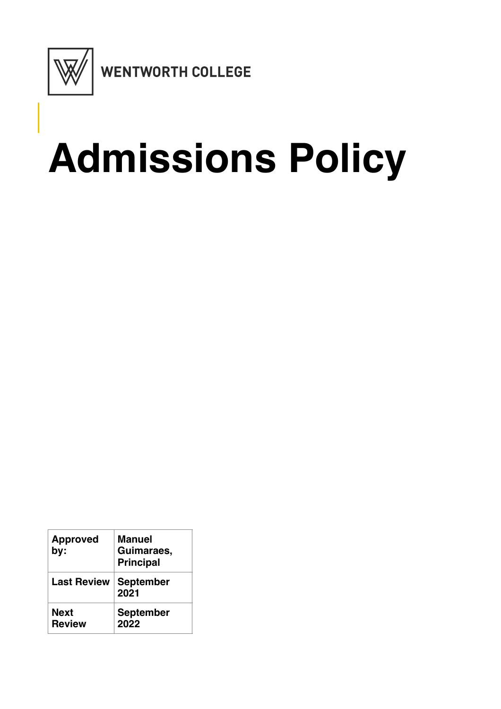

# **Admissions Policy**

| <b>Approved</b><br>by:       | Manuel<br>Guimaraes,<br><b>Principal</b> |
|------------------------------|------------------------------------------|
| <b>Last Review</b>           | <b>September</b><br>2021                 |
| <b>Next</b><br><b>Review</b> | <b>September</b><br>2022                 |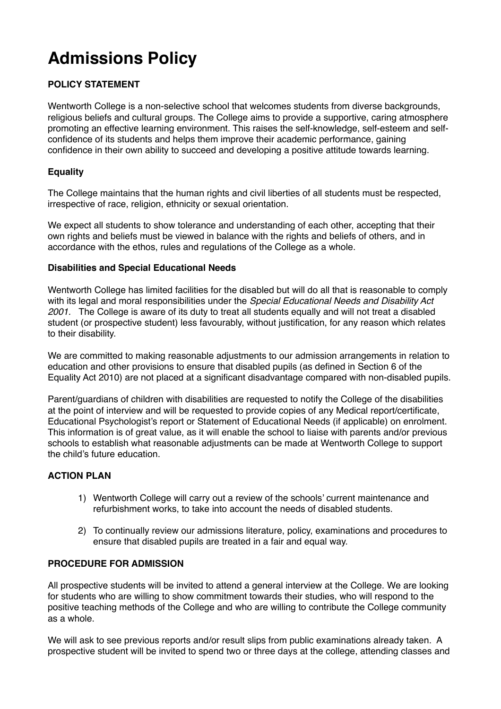# **Admissions Policy**

## **POLICY STATEMENT**

Wentworth College is a non-selective school that welcomes students from diverse backgrounds, religious beliefs and cultural groups. The College aims to provide a supportive, caring atmosphere promoting an effective learning environment. This raises the self-knowledge, self-esteem and selfconfidence of its students and helps them improve their academic performance, gaining confidence in their own ability to succeed and developing a positive attitude towards learning.

#### **Equality**

The College maintains that the human rights and civil liberties of all students must be respected, irrespective of race, religion, ethnicity or sexual orientation.

We expect all students to show tolerance and understanding of each other, accepting that their own rights and beliefs must be viewed in balance with the rights and beliefs of others, and in accordance with the ethos, rules and regulations of the College as a whole.

#### **Disabilities and Special Educational Needs**

Wentworth College has limited facilities for the disabled but will do all that is reasonable to comply with its legal and moral responsibilities under the *Special Educational Needs and Disability Act 2001.* The College is aware of its duty to treat all students equally and will not treat a disabled student (or prospective student) less favourably, without justification, for any reason which relates to their disability.

We are committed to making reasonable adjustments to our admission arrangements in relation to education and other provisions to ensure that disabled pupils (as defined in Section 6 of the Equality Act 2010) are not placed at a significant disadvantage compared with non-disabled pupils.

Parent/guardians of children with disabilities are requested to notify the College of the disabilities at the point of interview and will be requested to provide copies of any Medical report/certificate, Educational Psychologist's report or Statement of Educational Needs (if applicable) on enrolment. This information is of great value, as it will enable the school to liaise with parents and/or previous schools to establish what reasonable adjustments can be made at Wentworth College to support the child's future education.

### **ACTION PLAN**

- 1) Wentworth College will carry out a review of the schools' current maintenance and refurbishment works, to take into account the needs of disabled students.
- 2) To continually review our admissions literature, policy, examinations and procedures to ensure that disabled pupils are treated in a fair and equal way.

#### **PROCEDURE FOR ADMISSION**

All prospective students will be invited to attend a general interview at the College. We are looking for students who are willing to show commitment towards their studies, who will respond to the positive teaching methods of the College and who are willing to contribute the College community as a whole.

We will ask to see previous reports and/or result slips from public examinations already taken. A prospective student will be invited to spend two or three days at the college, attending classes and